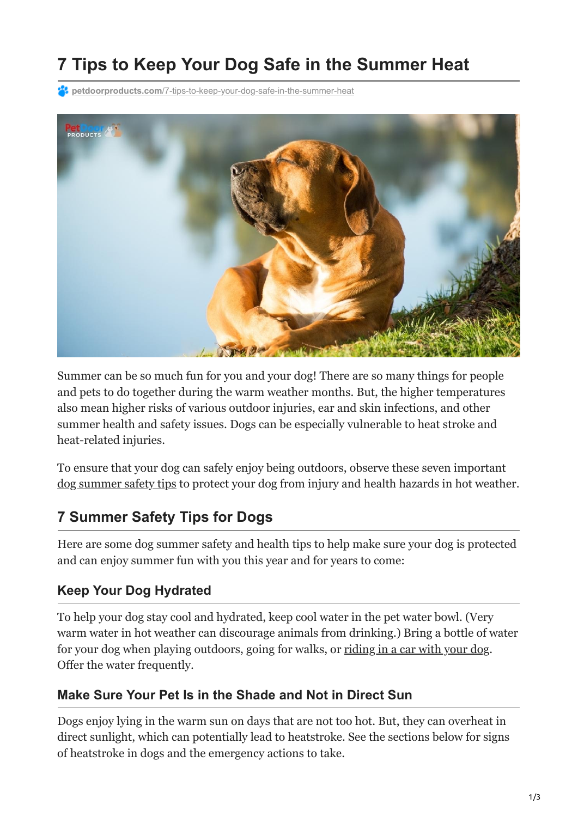# **7 Tips to Keep Your Dog Safe in the Summer Heat**

**<sup>2</sup> petdoorproducts.com**[/7-tips-to-keep-your-dog-safe-in-the-summer-heat](https://petdoorproducts.com/7-tips-to-keep-your-dog-safe-in-the-summer-heat/)



Summer can be so much fun for you and your dog! There are so many things for people and pets to do together during the warm weather months. But, the higher temperatures also mean higher risks of various outdoor injuries, ear and skin infections, and other summer health and safety issues. Dogs can be especially vulnerable to heat stroke and heat-related injuries.

To ensure that your dog can safely enjoy being outdoors, observe these seven important [dog summer safety tips](https://petdoorproducts.com/dangers-of-leaving-your-pet-outside-in-triple-digit-summer-weather/) to protect your dog from injury and health hazards in hot weather.

## **7 Summer Safety Tips for Dogs**

Here are some dog summer safety and health tips to help make sure your dog is protected and can enjoy summer fun with you this year and for years to come:

#### **Keep Your Dog Hydrated**

To help your dog stay cool and hydrated, keep cool water in the pet water bowl. (Very warm water in hot weather can discourage animals from drinking.) Bring a bottle of water for your dog when playing outdoors, going for walks, or [riding in a car with your dog](https://petdoorproducts.com/5-top-tips-for-road-tripping-with-your-dog/). Offer the water frequently.

#### **Make Sure Your Pet Is in the Shade and Not in Direct Sun**

Dogs enjoy lying in the warm sun on days that are not too hot. But, they can overheat in direct sunlight, which can potentially lead to heatstroke. See the sections below for signs of heatstroke in dogs and the emergency actions to take.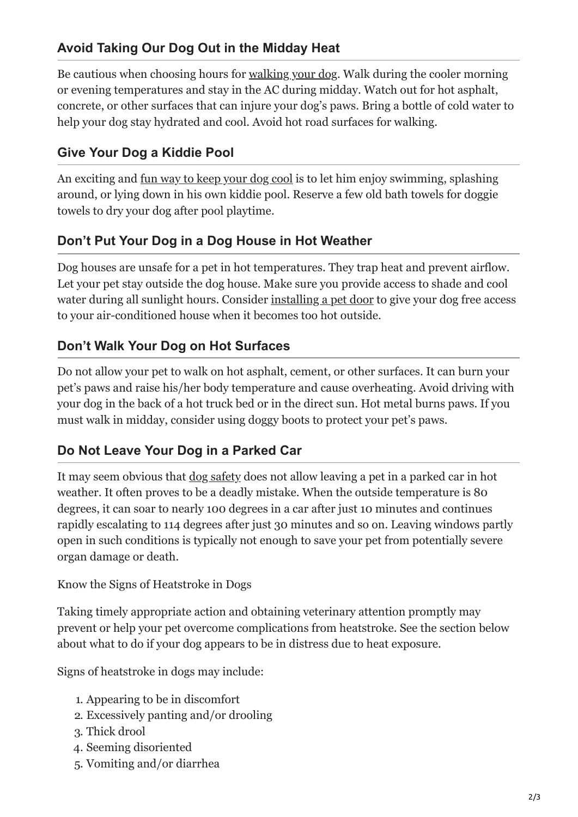### **Avoid Taking Our Dog Out in the Midday Heat**

Be cautious when choosing hours for <u>[walking your dog](https://petdoorproducts.com/the-4-most-important-tips-for-walking-your-dog/)</u>. Walk during the cooler morning or evening temperatures and stay in the AC during midday. Watch out for hot asphalt, concrete, or other surfaces that can injure your dog's paws. Bring a bottle of cold water to help your dog stay hydrated and cool. Avoid hot road surfaces for walking.

#### **Give Your Dog a Kiddie Pool**

An exciting and [fun way to keep your dog cool](https://petdoorproducts.com/6-fun-fitness-activities-to-help-keep-your-dog-healthy/) is to let him enjoy swimming, splashing around, or lying down in his own kiddie pool. Reserve a few old bath towels for doggie towels to dry your dog after pool playtime.

#### **Don't Put Your Dog in a Dog House in Hot Weather**

Dog houses are unsafe for a pet in hot temperatures. They trap heat and prevent airflow. Let your pet stay outside the dog house. Make sure you provide access to shade and cool water during all sunlight hours. Consider [installing a pet door](https://petdoorproducts.com/5-reasons-to-choose-a-dog-door-over-a-dog-house/) to give your dog free access to your air-conditioned house when it becomes too hot outside.

#### **Don't Walk Your Dog on Hot Surfaces**

Do not allow your pet to walk on hot asphalt, cement, or other surfaces. It can burn your pet's paws and raise his/her body temperature and cause overheating. Avoid driving with your dog in the back of a hot truck bed or in the direct sun. Hot metal burns paws. If you must walk in midday, consider using doggy boots to protect your pet's paws.

#### **Do Not Leave Your Dog in a Parked Car**

It may seem obvious that <u>[dog safety](https://petdoorproducts.com/springtime-safety-tips-for-your-dog/)</u> does not allow leaving a pet in a parked car in hot weather. It often proves to be a deadly mistake. When the outside temperature is 80 degrees, it can soar to nearly 100 degrees in a car after just 10 minutes and continues rapidly escalating to 114 degrees after just 30 minutes and so on. Leaving windows partly open in such conditions is typically not enough to save your pet from potentially severe organ damage or death.

Know the Signs of Heatstroke in Dogs

Taking timely appropriate action and obtaining veterinary attention promptly may prevent or help your pet overcome complications from heatstroke. See the section below about what to do if your dog appears to be in distress due to heat exposure.

Signs of heatstroke in dogs may include:

- 1. Appearing to be in discomfort
- 2. Excessively panting and/or drooling
- 3. Thick drool
- 4. Seeming disoriented
- 5. Vomiting and/or diarrhea